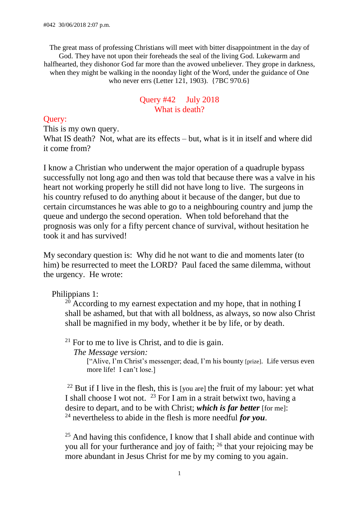The great mass of professing Christians will meet with bitter disappointment in the day of God. They have not upon their foreheads the seal of the living God. Lukewarm and halfhearted, they dishonor God far more than the avowed unbeliever. They grope in darkness, when they might be walking in the noonday light of the Word, under the guidance of One who never errs (Letter 121, 1903). {7BC 970.6}

#### Query #42 July 2018 What is death?

# Query:

This is my own query.

What IS death? Not, what are its effects – but, what is it in itself and where did it come from?

I know a Christian who underwent the major operation of a quadruple bypass successfully not long ago and then was told that because there was a valve in his heart not working properly he still did not have long to live. The surgeons in his country refused to do anything about it because of the danger, but due to certain circumstances he was able to go to a neighbouring country and jump the queue and undergo the second operation. When told beforehand that the prognosis was only for a fifty percent chance of survival, without hesitation he took it and has survived!

My secondary question is: Why did he not want to die and moments later (to him) be resurrected to meet the LORD? Paul faced the same dilemma, without the urgency. He wrote:

Philippians 1:

 $20$  According to my earnest expectation and my hope, that in nothing I shall be ashamed, but that with all boldness, as always, so now also Christ shall be magnified in my body, whether it be by life, or by death.

 $21$  For to me to live is Christ, and to die is gain.

 *The Message version:*

["Alive, I'm Christ's messenger; dead, I'm his bounty [prize]. Life versus even more life! I can't lose.]

<sup>22</sup> But if I live in the flesh, this is [you are] the fruit of my labour: yet what I shall choose I wot not. <sup>23</sup> For I am in a strait betwixt two, having a desire to depart, and to be with Christ; *which is far better* [for me]: <sup>24</sup> nevertheless to abide in the flesh is more needful *for you*.

 $25$  And having this confidence, I know that I shall abide and continue with you all for your furtherance and joy of faith; <sup>26</sup> that your rejoicing may be more abundant in Jesus Christ for me by my coming to you again.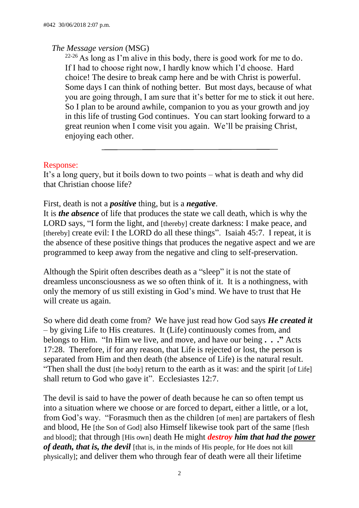#### *The Message version* (MSG)

 $22-26$  As long as I'm alive in this body, there is good work for me to do. If I had to choose right now, I hardly know which I'd choose. Hard choice! The desire to break camp here and be with Christ is powerful. Some days I can think of nothing better. But most days, because of what you are going through, I am sure that it's better for me to stick it out here. So I plan to be around awhile, companion to you as your growth and joy in this life of trusting God continues. You can start looking forward to a great reunion when I come visit you again. We'll be praising Christ, enjoying each other.

# Response:

It's a long query, but it boils down to two points – what is death and why did that Christian choose life?

#### First, death is not a *positive* thing, but is a *negative*.

It is *the absence* of life that produces the state we call death, which is why the LORD says, "I form the light, and [thereby] create darkness: I make peace, and [thereby] create evil: I the LORD do all these things". Isaiah 45:7. I repeat, it is the absence of these positive things that produces the negative aspect and we are programmed to keep away from the negative and cling to self-preservation.

Although the Spirit often describes death as a "sleep" it is not the state of dreamless unconsciousness as we so often think of it. It is a nothingness, with only the memory of us still existing in God's mind. We have to trust that He will create us again.

So where did death come from? We have just read how God says *He created it* – by giving Life to His creatures. It (Life) continuously comes from, and belongs to Him. "In Him we live, and move, and have our being **. . ."** Acts 17:28. Therefore, if for any reason, that Life is rejected or lost, the person is separated from Him and then death (the absence of Life) is the natural result. "Then shall the dust [the body] return to the earth as it was: and the spirit [of Life] shall return to God who gave it". Ecclesiastes 12:7.

The devil is said to have the power of death because he can so often tempt us into a situation where we choose or are forced to depart, either a little, or a lot, from God's way. "Forasmuch then as the children [of men] are partakers of flesh and blood, He [the Son of God] also Himself likewise took part of the same [flesh and blood]; that through [His own] death He might *destroy him that had the power of death, that is, the devil* [that is, in the minds of His people, for He does not kill physically]; and deliver them who through fear of death were all their lifetime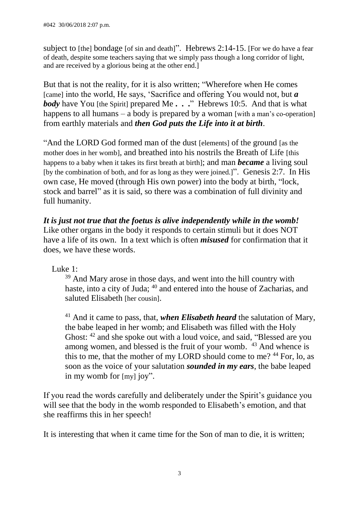subject to [the] bondage [of sin and death]". Hebrews 2:14-15. [For we do have a fear of death, despite some teachers saying that we simply pass though a long corridor of light, and are received by a glorious being at the other end.]

But that is not the reality, for it is also written; "Wherefore when He comes [came] into the world, He says, 'Sacrifice and offering You would not, but *a body* have You [the Spirit] prepared Me . . ." Hebrews 10:5. And that is what happens to all humans – a body is prepared by a woman [with a man's co-operation] from earthly materials and *then God puts the Life into it at birth*.

"And the LORD God formed man of the dust [elements] of the ground [as the mother does in her womb], and breathed into his nostrils the Breath of Life [this happens to a baby when it takes its first breath at birth]; and man *became* a living soul [by the combination of both, and for as long as they were joined.]". Genesis 2:7. In His own case, He moved (through His own power) into the body at birth, "lock, stock and barrel" as it is said, so there was a combination of full divinity and full humanity.

*It is just not true that the foetus is alive independently while in the womb!*  Like other organs in the body it responds to certain stimuli but it does NOT have a life of its own. In a text which is often *misused* for confirmation that it does, we have these words.

Luke 1:

 $39$  And Mary arose in those days, and went into the hill country with haste, into a city of Juda; <sup>40</sup> and entered into the house of Zacharias, and saluted Elisabeth [her cousin].

<sup>41</sup> And it came to pass, that, *when Elisabeth heard* the salutation of Mary, the babe leaped in her womb; and Elisabeth was filled with the Holy Ghost: <sup>42</sup> and she spoke out with a loud voice, and said, "Blessed are you among women, and blessed is the fruit of your womb. <sup>43</sup> And whence is this to me, that the mother of my LORD should come to me? <sup>44</sup> For, lo, as soon as the voice of your salutation *sounded in my ears*, the babe leaped in my womb for [my] joy".

If you read the words carefully and deliberately under the Spirit's guidance you will see that the body in the womb responded to Elisabeth's emotion, and that she reaffirms this in her speech!

It is interesting that when it came time for the Son of man to die, it is written;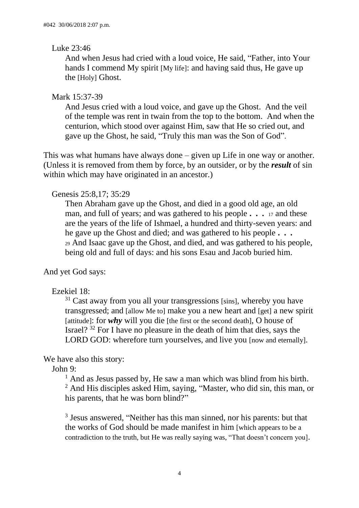#### Luke 23:46

And when Jesus had cried with a loud voice, He said, "Father, into Your hands I commend My spirit [My life]: and having said thus, He gave up the [Holy] Ghost.

# Mark 15:37-39

And Jesus cried with a loud voice, and gave up the Ghost. And the veil of the temple was rent in twain from the top to the bottom. And when the centurion, which stood over against Him, saw that He so cried out, and gave up the Ghost, he said, "Truly this man was the Son of God".

This was what humans have always done – given up Life in one way or another. (Unless it is removed from them by force, by an outsider, or by the *result* of sin within which may have originated in an ancestor.)

# Genesis 25:8,17; 35:29

Then Abraham gave up the Ghost, and died in a good old age, an old man, and full of years; and was gathered to his people **. . .** <sup>17</sup> and these are the years of the life of Ishmael, a hundred and thirty-seven years: and he gave up the Ghost and died; and was gathered to his people **. . .**  <sup>29</sup> And Isaac gave up the Ghost, and died, and was gathered to his people, being old and full of days: and his sons Esau and Jacob buried him.

And yet God says:

# Ezekiel 18:

 $31$  Cast away from you all your transgressions [sins], whereby you have transgressed; and [allow Me to] make you a new heart and [get] a new spirit [attitude]: for  $whv$  will you die [the first or the second death], O house of Israel? <sup>32</sup> For I have no pleasure in the death of him that dies, says the LORD GOD: wherefore turn yourselves, and live you frow and eternally.

# We have also this story:

John 9:

 $<sup>1</sup>$  And as Jesus passed by, He saw a man which was blind from his birth.</sup> <sup>2</sup> And His disciples asked Him, saying, "Master, who did sin, this man, or his parents, that he was born blind?"

<sup>3</sup> Jesus answered, "Neither has this man sinned, nor his parents: but that the works of God should be made manifest in him [which appears to be a contradiction to the truth, but He was really saying was, "That doesn't concern you].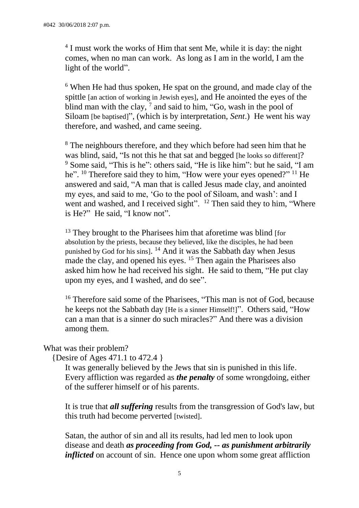<sup>4</sup> I must work the works of Him that sent Me, while it is day: the night comes, when no man can work. As long as I am in the world, I am the light of the world".

<sup>6</sup> When He had thus spoken, He spat on the ground, and made clay of the spittle [an action of working in Jewish eyes], and He anointed the eyes of the blind man with the clay,  $^7$  and said to him, "Go, wash in the pool of Siloam [be baptised]", (which is by interpretation, *Sent*.) He went his way therefore, and washed, and came seeing.

<sup>8</sup> The neighbours therefore, and they which before had seen him that he was blind, said, "Is not this he that sat and begged the looks so different!? <sup>9</sup> Some said, "This is he": others said, "He is like him": but he said, "I am he". <sup>10</sup> Therefore said they to him, "How were your eyes opened?" <sup>11</sup> He answered and said, "A man that is called Jesus made clay, and anointed my eyes, and said to me, 'Go to the pool of Siloam, and wash': and I went and washed, and I received sight". <sup>12</sup> Then said they to him, "Where is He?" He said, "I know not".

<sup>13</sup> They brought to the Pharisees him that aforetime was blind [for absolution by the priests, because they believed, like the disciples, he had been punished by God for his sins]. <sup>14</sup> And it was the Sabbath day when Jesus made the clay, and opened his eyes. <sup>15</sup> Then again the Pharisees also asked him how he had received his sight. He said to them, "He put clay upon my eyes, and I washed, and do see".

<sup>16</sup> Therefore said some of the Pharisees, "This man is not of God, because he keeps not the Sabbath day [He is a sinner Himself!]". Others said, "How can a man that is a sinner do such miracles?" And there was a division among them.

What was their problem?

{Desire of Ages 471.1 to 472.4 }

It was generally believed by the Jews that sin is punished in this life. Every affliction was regarded as *the penalty* of some wrongdoing, either of the sufferer himself or of his parents.

It is true that *all suffering* results from the transgression of God's law, but this truth had become perverted [twisted].

Satan, the author of sin and all its results, had led men to look upon disease and death *as proceeding from God, -- as punishment arbitrarily inflicted* on account of sin. Hence one upon whom some great affliction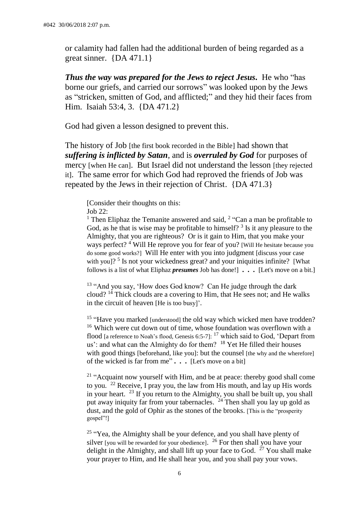or calamity had fallen had the additional burden of being regarded as a great sinner. {DA 471.1}

*Thus the way was prepared for the Jews to reject Jesus.* He who "has borne our griefs, and carried our sorrows" was looked upon by the Jews as "stricken, smitten of God, and afflicted;" and they hid their faces from Him. Isaiah 53:4, 3. {DA 471.2}

God had given a lesson designed to prevent this.

The history of Job [the first book recorded in the Bible] had shown that *suffering is inflicted by Satan*, and is *overruled by God* for purposes of mercy [when He can]. But Israel did not understand the lesson [they rejected it]. The same error for which God had reproved the friends of Job was repeated by the Jews in their rejection of Christ. {DA 471.3}

[Consider their thoughts on this: Job 22:

<sup>1</sup> Then Eliphaz the Temanite answered and said,  $2$  "Can a man be profitable to God, as he that is wise may be profitable to himself?  $3$  Is it any pleasure to the Almighty, that you are righteous? Or is it gain to Him, that you make your ways perfect? <sup>4</sup> Will He reprove you for fear of you? [Will He hesitate because you do some good works?] Will He enter with you into judgment [discuss your case with you]?<sup>5</sup> Is not your wickedness great? and your iniquities infinite? [What follows is a list of what Eliphaz *presumes* Job has done!] **. . .** [Let's move on a bit.]

<sup>13</sup> "And you say, 'How does God know? Can He judge through the dark cloud?  $14$  Thick clouds are a covering to Him, that He sees not; and He walks in the circuit of heaven [He is too busy]'.

<sup>15</sup> "Have you marked [understood] the old way which wicked men have trodden? <sup>16</sup> Which were cut down out of time, whose foundation was overflown with a flood [a reference to Noah's flood, Genesis 6:5-7]: <sup>17</sup> which said to God, 'Depart from us': and what can the Almighty do for them? <sup>18</sup> Yet He filled their houses with good things [beforehand, like you]: but the counsel [the why and the wherefore] of the wicked is far from me" **. . .** [Let's move on a bit]

<sup>21</sup> "Acquaint now yourself with Him, and be at peace: thereby good shall come to you.  $22$  Receive, I pray you, the law from His mouth, and lay up His words in your heart. <sup>23</sup> If you return to the Almighty, you shall be built up, you shall put away iniquity far from your tabernacles. <sup>24</sup> Then shall you lay up gold as dust, and the gold of Ophir as the stones of the brooks. [This is the "prosperity gospel"!]

 $25$  "Yea, the Almighty shall be your defence, and you shall have plenty of silver [you will be rewarded for your obedience].  $26$  For then shall you have your delight in the Almighty, and shall lift up your face to God.  $27$  You shall make your prayer to Him, and He shall hear you, and you shall pay your vows.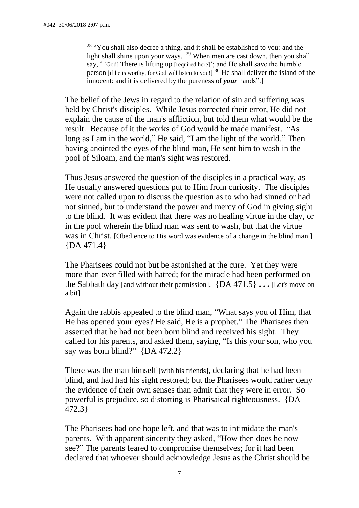<sup>28</sup> "You shall also decree a thing, and it shall be established to you: and the light shall shine upon your ways. <sup>29</sup> When men are cast down, then you shall say, ' [God] There is lifting up [required here]'; and He shall save the humble person [if he is worthy, for God will listen to you!] <sup>30</sup> He shall deliver the island of the innocent: and it is delivered by the pureness of *your* hands".]

The belief of the Jews in regard to the relation of sin and suffering was held by Christ's disciples. While Jesus corrected their error, He did not explain the cause of the man's affliction, but told them what would be the result. Because of it the works of God would be made manifest. "As long as I am in the world," He said, "I am the light of the world." Then having anointed the eyes of the blind man, He sent him to wash in the pool of Siloam, and the man's sight was restored.

Thus Jesus answered the question of the disciples in a practical way, as He usually answered questions put to Him from curiosity. The disciples were not called upon to discuss the question as to who had sinned or had not sinned, but to understand the power and mercy of God in giving sight to the blind. It was evident that there was no healing virtue in the clay, or in the pool wherein the blind man was sent to wash, but that the virtue was in Christ. [Obedience to His word was evidence of a change in the blind man.]  ${DA 471.4}$ 

The Pharisees could not but be astonished at the cure. Yet they were more than ever filled with hatred; for the miracle had been performed on the Sabbath day [and without their permission]. {DA 471.5} **. . .** [Let's move on a bit]

Again the rabbis appealed to the blind man, "What says you of Him, that He has opened your eyes? He said, He is a prophet." The Pharisees then asserted that he had not been born blind and received his sight. They called for his parents, and asked them, saying, "Is this your son, who you say was born blind?" {DA 472.2}

There was the man himself [with his friends], declaring that he had been blind, and had had his sight restored; but the Pharisees would rather deny the evidence of their own senses than admit that they were in error. So powerful is prejudice, so distorting is Pharisaical righteousness. {DA 472.3}

The Pharisees had one hope left, and that was to intimidate the man's parents. With apparent sincerity they asked, "How then does he now see?" The parents feared to compromise themselves; for it had been declared that whoever should acknowledge Jesus as the Christ should be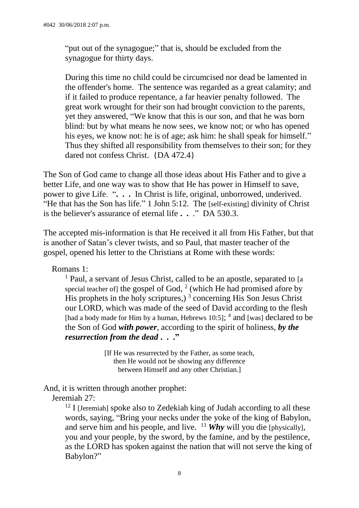"put out of the synagogue;" that is, should be excluded from the synagogue for thirty days.

During this time no child could be circumcised nor dead be lamented in the offender's home. The sentence was regarded as a great calamity; and if it failed to produce repentance, a far heavier penalty followed. The great work wrought for their son had brought conviction to the parents, yet they answered, "We know that this is our son, and that he was born blind: but by what means he now sees, we know not; or who has opened his eyes, we know not: he is of age; ask him: he shall speak for himself." Thus they shifted all responsibility from themselves to their son; for they dared not confess Christ. {DA 472.4}

The Son of God came to change all those ideas about His Father and to give a better Life, and one way was to show that He has power in Himself to save, power to give Life. "**. . .** In Christ is life, original, unborrowed, underived. "He that has the Son has life." 1 John 5:12. The [self-existing] divinity of Christ is the believer's assurance of eternal life **. .** ." DA 530.3.

The accepted mis-information is that He received it all from His Father, but that is another of Satan's clever twists, and so Paul, that master teacher of the gospel, opened his letter to the Christians at Rome with these words:

Romans 1:

<sup>1</sup> Paul, a servant of Jesus Christ, called to be an apostle, separated to [a special teacher of] the gospel of God,  $2$  (which He had promised afore by His prophets in the holy scriptures,  $3 \overline{)}$  concerning His Son Jesus Christ our LORD, which was made of the seed of David according to the flesh [had a body made for Him by a human, Hebrews  $10:5$ ];  $^4$  and [was] declared to be the Son of God *with power*, according to the spirit of holiness, *by the resurrection from the dead* **. . ."**

> [If He was resurrected by the Father, as some teach, then He would not be showing any difference between Himself and any other Christian.]

And, it is written through another prophet:

Jeremiah 27:

<sup>12</sup> I [Jeremiah] spoke also to Zedekiah king of Judah according to all these words, saying, "Bring your necks under the yoke of the king of Babylon, and serve him and his people, and live. <sup>13</sup> *Why* will you die [physically], you and your people, by the sword, by the famine, and by the pestilence, as the LORD has spoken against the nation that will not serve the king of Babylon?"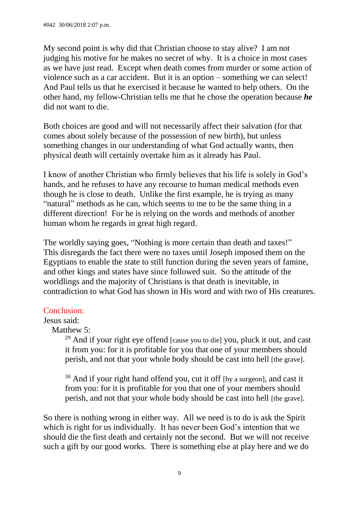My second point is why did that Christian choose to stay alive? I am not judging his motive for he makes no secret of why. It is a choice in most cases as we have just read. Except when death comes from murder or some action of violence such as a car accident. But it is an option – something we can select! And Paul tells us that he exercised it because he wanted to help others. On the other hand, my fellow-Christian tells me that he chose the operation because *he* did not want to die.

Both choices are good and will not necessarily affect their salvation (for that comes about solely because of the possession of new birth), but unless something changes in our understanding of what God actually wants, then physical death will certainly overtake him as it already has Paul.

I know of another Christian who firmly believes that his life is solely in God's hands, and he refuses to have any recourse to human medical methods even though he is close to death. Unlike the first example, he is trying as many "natural" methods as he can, which seems to me to be the same thing in a different direction! For he is relying on the words and methods of another human whom he regards in great high regard.

The worldly saying goes, "Nothing is more certain than death and taxes!" This disregards the fact there were no taxes until Joseph imposed them on the Egyptians to enable the state to still function during the seven years of famine, and other kings and states have since followed suit. So the attitude of the worldlings and the majority of Christians is that death is inevitable, in contradiction to what God has shown in His word and with two of His creatures.

# Conclusion:

# Jesus said:

Matthew 5:

 $^{29}$  And if your right eve offend [cause you to die] you, pluck it out, and cast it from you: for it is profitable for you that one of your members should perish, and not that your whole body should be cast into hell [the grave].

 $30$  And if your right hand offend you, cut it off [by a surgeon], and cast it from you: for it is profitable for you that one of your members should perish, and not that your whole body should be cast into hell [the grave].

So there is nothing wrong in either way. All we need is to do is ask the Spirit which is right for us individually. It has never been God's intention that we should die the first death and certainly not the second. But we will not receive such a gift by our good works. There is something else at play here and we do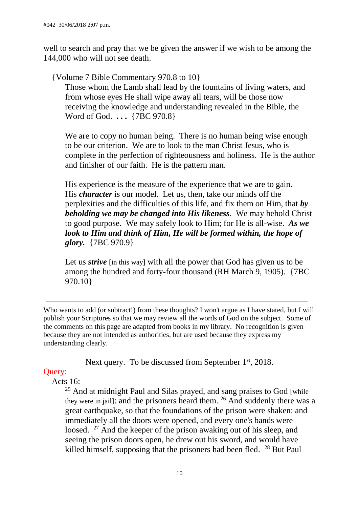well to search and pray that we be given the answer if we wish to be among the 144,000 who will not see death.

{Volume 7 Bible Commentary 970.8 to 10}

Those whom the Lamb shall lead by the fountains of living waters, and from whose eyes He shall wipe away all tears, will be those now receiving the knowledge and understanding revealed in the Bible, the Word of God. **. . .** {7BC 970.8}

We are to copy no human being. There is no human being wise enough to be our criterion. We are to look to the man Christ Jesus, who is complete in the perfection of righteousness and holiness. He is the author and finisher of our faith. He is the pattern man.

His experience is the measure of the experience that we are to gain. His *character* is our model. Let us, then, take our minds off the perplexities and the difficulties of this life, and fix them on Him, that *by beholding we may be changed into His likeness*. We may behold Christ to good purpose. We may safely look to Him; for He is all-wise. *As we look to Him and think of Him, He will be formed within, the hope of glory.* {7BC 970.9}

Let us *strive* [in this way] with all the power that God has given us to be among the hundred and forty-four thousand (RH March 9, 1905). {7BC 970.10}

Who wants to add (or subtract!) from these thoughts? I won't argue as I have stated, but I will publish your Scriptures so that we may review all the words of God on the subject. Some of the comments on this page are adapted from books in my library. No recognition is given because they are not intended as authorities, but are used because they express my understanding clearly.

[Next query.](file:///D:/A%20Passport%20travelling/Travelling%20on%20C%20drive/My%20webs/my_page/past_queries/burnt_offerings_aug_14.html%23.) To be discussed from September 1<sup>st</sup>, 2018.

# Query:

Acts 16:

<sup>25</sup> And at midnight Paul and Silas prayed, and sang praises to God [while they were in jail]: and the prisoners heard them.  $26$  And suddenly there was a great earthquake, so that the foundations of the prison were shaken: and immediately all the doors were opened, and every one's bands were loosed. <sup>27</sup> And the keeper of the prison awaking out of his sleep, and seeing the prison doors open, he drew out his sword, and would have killed himself, supposing that the prisoners had been fled. <sup>28</sup> But Paul